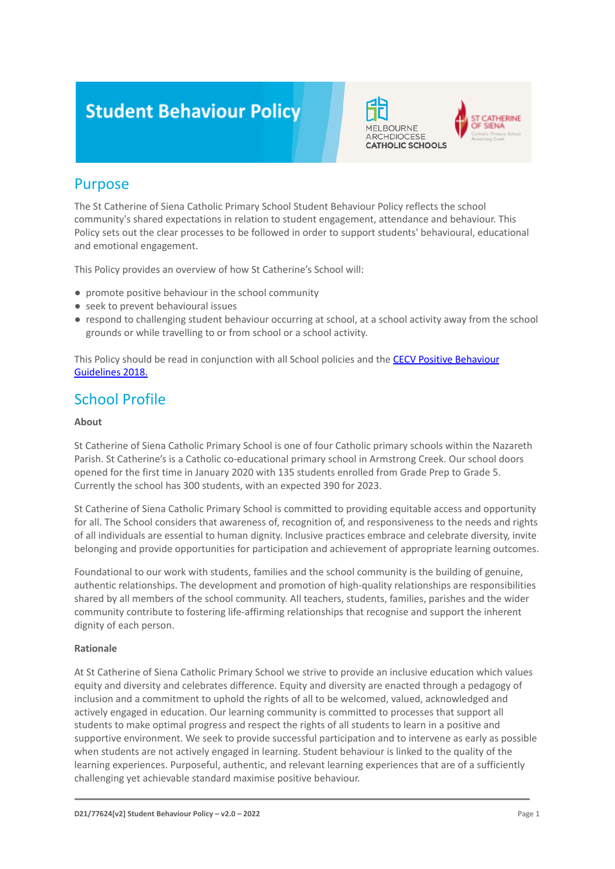# **Student Behaviour Policy**



**ATHERINE** SIENA

### Purpose

The St Catherine of Siena Catholic Primary School Student Behaviour Policy reflects the school community's shared expectations in relation to student engagement, attendance and behaviour. This Policy sets out the clear processes to be followed in order to support students' behavioural, educational and emotional engagement.

This Policy provides an overview of how St Catherine's School will:

- promote positive behaviour in the school community
- seek to prevent behavioural issues
- respond to challenging student behaviour occurring at school, at a school activity away from the school grounds or while travelling to or from school or a school activity.

This Policy should be read in conjunction with all School policies and the [CECV Positive Behaviour](https://www.cecv.catholic.edu.au/getmedia/bc1d235d-9a98-4bb4-b3ac-84b50fa7c639/CECV-Positive-Behaviour-Guidelines_FINAL2.aspx?ext=.pdf) [Guidelines 2018.](https://www.cecv.catholic.edu.au/getmedia/bc1d235d-9a98-4bb4-b3ac-84b50fa7c639/CECV-Positive-Behaviour-Guidelines_FINAL2.aspx?ext=.pdf)

### School Profile

### **About**

St Catherine of Siena Catholic Primary School is one of four Catholic primary schools within the Nazareth Parish. St Catherine's is a Catholic co-educational primary school in Armstrong Creek. Our school doors opened for the first time in January 2020 with 135 students enrolled from Grade Prep to Grade 5. Currently the school has 300 students, with an expected 390 for 2023.

St Catherine of Siena Catholic Primary School is committed to providing equitable access and opportunity for all. The School considers that awareness of, recognition of, and responsiveness to the needs and rights of all individuals are essential to human dignity. Inclusive practices embrace and celebrate diversity, invite belonging and provide opportunities for participation and achievement of appropriate learning outcomes.

Foundational to our work with students, families and the school community is the building of genuine, authentic relationships. The development and promotion of high-quality relationships are responsibilities shared by all members of the school community. All teachers, students, families, parishes and the wider community contribute to fostering life-affirming relationships that recognise and support the inherent dignity of each person.

### **Rationale**

At St Catherine of Siena Catholic Primary School we strive to provide an inclusive education which values equity and diversity and celebrates difference. Equity and diversity are enacted through a pedagogy of inclusion and a commitment to uphold the rights of all to be welcomed, valued, acknowledged and actively engaged in education. Our learning community is committed to processes that support all students to make optimal progress and respect the rights of all students to learn in a positive and supportive environment. We seek to provide successful participation and to intervene as early as possible when students are not actively engaged in learning. Student behaviour is linked to the quality of the learning experiences. Purposeful, authentic, and relevant learning experiences that are of a sufficiently challenging yet achievable standard maximise positive behaviour.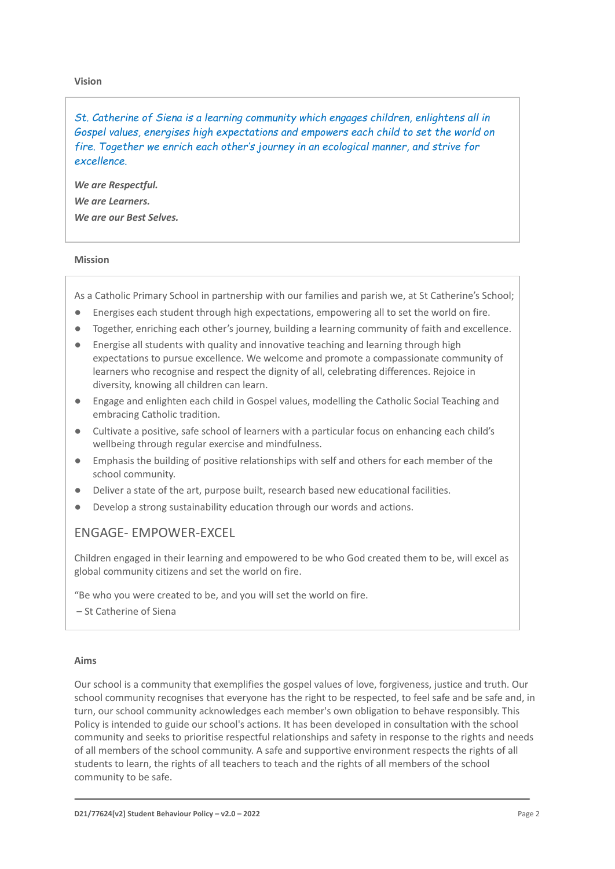#### **Vision**

*St. Catherine of Siena is a learning community which engages children, enlightens all in Gospel values, energises high expectations and empowers each child to set the world on fire. Together we enrich each other's journey in an ecological manner, and strive for excellence.*

*We are Respectful. We are Learners. We are our Best Selves.*

#### **Mission**

As a Catholic Primary School in partnership with our families and parish we, at St Catherine's School;

- Energises each student through high expectations, empowering all to set the world on fire.
- Together, enriching each other's journey, building a learning community of faith and excellence.
- Energise all students with quality and innovative teaching and learning through high expectations to pursue excellence. We welcome and promote a compassionate community of learners who recognise and respect the dignity of all, celebrating differences. Rejoice in diversity, knowing all children can learn.
- Engage and enlighten each child in Gospel values, modelling the Catholic Social Teaching and embracing Catholic tradition.
- Cultivate a positive, safe school of learners with a particular focus on enhancing each child's wellbeing through regular exercise and mindfulness.
- Emphasis the building of positive relationships with self and others for each member of the school community.
- Deliver a state of the art, purpose built, research based new educational facilities.
- Develop a strong sustainability education through our words and actions.

### ENGAGE- EMPOWER-EXCEL

Children engaged in their learning and empowered to be who God created them to be, will excel as global community citizens and set the world on fire.

"Be who you were created to be, and you will set the world on fire.

– St Catherine of Siena

### **Aims**

Our school is a community that exemplifies the gospel values of love, forgiveness, justice and truth. Our school community recognises that everyone has the right to be respected, to feel safe and be safe and, in turn, our school community acknowledges each member's own obligation to behave responsibly. This Policy is intended to guide our school's actions. It has been developed in consultation with the school community and seeks to prioritise respectful relationships and safety in response to the rights and needs of all members of the school community. A safe and supportive environment respects the rights of all students to learn, the rights of all teachers to teach and the rights of all members of the school community to be safe.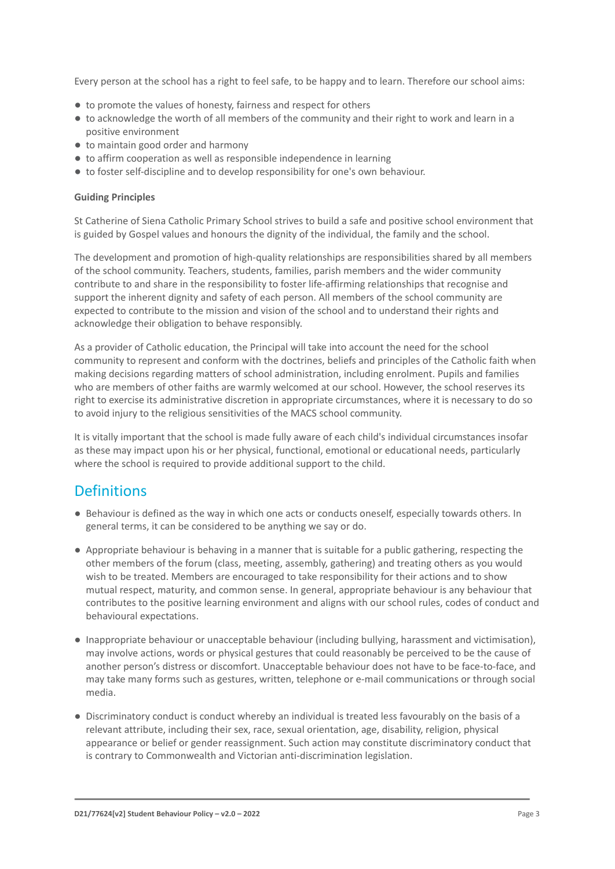Every person at the school has a right to feel safe, to be happy and to learn. Therefore our school aims:

- to promote the values of honesty, fairness and respect for others
- to acknowledge the worth of all members of the community and their right to work and learn in a positive environment
- to maintain good order and harmony
- to affirm cooperation as well as responsible independence in learning
- to foster self-discipline and to develop responsibility for one's own behaviour.

#### **Guiding Principles**

St Catherine of Siena Catholic Primary School strives to build a safe and positive school environment that is guided by Gospel values and honours the dignity of the individual, the family and the school.

The development and promotion of high-quality relationships are responsibilities shared by all members of the school community. Teachers, students, families, parish members and the wider community contribute to and share in the responsibility to foster life-affirming relationships that recognise and support the inherent dignity and safety of each person. All members of the school community are expected to contribute to the mission and vision of the school and to understand their rights and acknowledge their obligation to behave responsibly.

As a provider of Catholic education, the Principal will take into account the need for the school community to represent and conform with the doctrines, beliefs and principles of the Catholic faith when making decisions regarding matters of school administration, including enrolment. Pupils and families who are members of other faiths are warmly welcomed at our school. However, the school reserves its right to exercise its administrative discretion in appropriate circumstances, where it is necessary to do so to avoid injury to the religious sensitivities of the MACS school community.

It is vitally important that the school is made fully aware of each child's individual circumstances insofar as these may impact upon his or her physical, functional, emotional or educational needs, particularly where the school is required to provide additional support to the child.

### **Definitions**

- Behaviour is defined as the way in which one acts or conducts oneself, especially towards others. In general terms, it can be considered to be anything we say or do.
- Appropriate behaviour is behaving in a manner that is suitable for a public gathering, respecting the other members of the forum (class, meeting, assembly, gathering) and treating others as you would wish to be treated. Members are encouraged to take responsibility for their actions and to show mutual respect, maturity, and common sense. In general, appropriate behaviour is any behaviour that contributes to the positive learning environment and aligns with our school rules, codes of conduct and behavioural expectations.
- Inappropriate behaviour or unacceptable behaviour (including bullying, harassment and victimisation), may involve actions, words or physical gestures that could reasonably be perceived to be the cause of another person's distress or discomfort. Unacceptable behaviour does not have to be face-to-face, and may take many forms such as gestures, written, telephone or e-mail communications or through social media.
- Discriminatory conduct is conduct whereby an individual is treated less favourably on the basis of a relevant attribute, including their sex, race, sexual orientation, age, disability, religion, physical appearance or belief or gender reassignment. Such action may constitute discriminatory conduct that is contrary to Commonwealth and Victorian anti-discrimination legislation.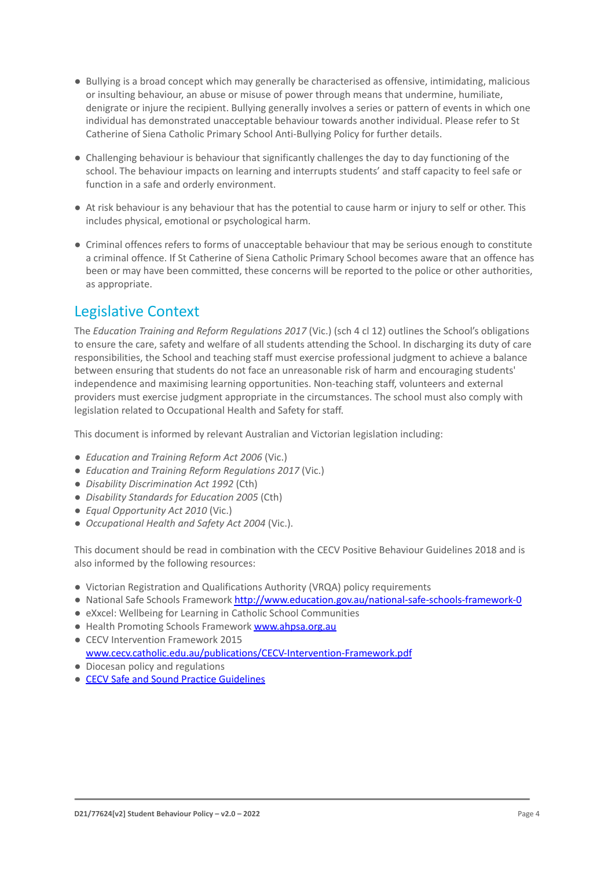- Bullying is a broad concept which may generally be characterised as offensive, intimidating, malicious or insulting behaviour, an abuse or misuse of power through means that undermine, humiliate, denigrate or injure the recipient. Bullying generally involves a series or pattern of events in which one individual has demonstrated unacceptable behaviour towards another individual. Please refer to St Catherine of Siena Catholic Primary School Anti-Bullying Policy for further details.
- Challenging behaviour is behaviour that significantly challenges the day to day functioning of the school. The behaviour impacts on learning and interrupts students' and staff capacity to feel safe or function in a safe and orderly environment.
- At risk behaviour is any behaviour that has the potential to cause harm or injury to self or other. This includes physical, emotional or psychological harm.
- Criminal offences refers to forms of unacceptable behaviour that may be serious enough to constitute a criminal offence. If St Catherine of Siena Catholic Primary School becomes aware that an offence has been or may have been committed, these concerns will be reported to the police or other authorities, as appropriate.

### Legislative Context

The *Education Training and Reform Regulations 2017* (Vic.) (sch 4 cl 12) outlines the School's obligations to ensure the care, safety and welfare of all students attending the School. In discharging its duty of care responsibilities, the School and teaching staff must exercise professional judgment to achieve a balance between ensuring that students do not face an unreasonable risk of harm and encouraging students' independence and maximising learning opportunities. Non-teaching staff, volunteers and external providers must exercise judgment appropriate in the circumstances. The school must also comply with legislation related to Occupational Health and Safety for staff.

This document is informed by relevant Australian and Victorian legislation including:

- *Education and Training Reform Act 2006* (Vic.)
- *Education and Training Reform Regulations 2017* (Vic.)
- *Disability Discrimination Act 1992* (Cth)
- *Disability Standards for Education 2005* (Cth)
- *Equal Opportunity Act 2010* (Vic.)
- *Occupational Health and Safety Act 2004* (Vic.).

This document should be read in combination with the CECV Positive Behaviour Guidelines 2018 and is also informed by the following resources:

- Victorian Registration and Qualifications Authority (VRQA) policy requirements
- National Safe Schools Framework <http://www.education.gov.au/national-safe-schools-framework-0>
- eXxcel: Wellbeing for Learning in Catholic School Communities
- Health Promoting Schools Framework [www.ahpsa.org.au](http://www.ahpsa.org.au)
- CFCV Intervention Framework 2015 [www.cecv.catholic.edu.au/publications/CECV-Intervention-Framework.pdf](http://www.cecv.catholic.edu.au/publications/CECV-Intervention-Framework.pdf)
- Diocesan policy and regulations
- [CECV Safe and Sound Practice Guidelines](https://www.cecv.catholic.edu.au/getmedia/bad5e328-b5f9-4742-a66c-0c7f20ae21ff/Safe-and-Sound-Practice-Guidelines.aspx)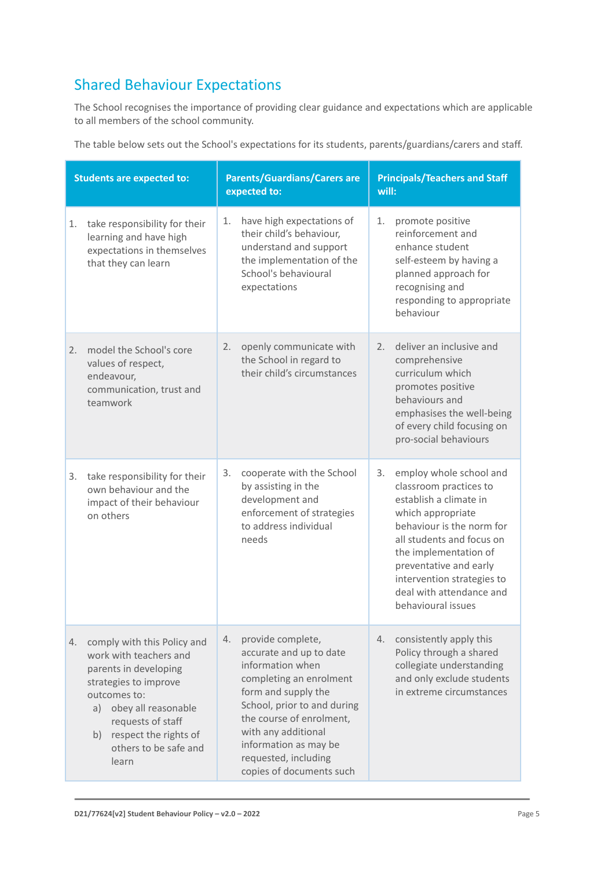## Shared Behaviour Expectations

The School recognises the importance of providing clear guidance and expectations which are applicable to all members of the school community.

The table below sets out the School's expectations for its students, parents/guardians/carers and staff.

| <b>Students are expected to:</b> |                                                                                                                                                                                                                                         | <b>Parents/Guardians/Carers are</b><br>expected to: |                                                                                                                                                                                                                                                                                   | <b>Principals/Teachers and Staff</b><br>will: |                                                                                                                                                                                                                                                                                               |
|----------------------------------|-----------------------------------------------------------------------------------------------------------------------------------------------------------------------------------------------------------------------------------------|-----------------------------------------------------|-----------------------------------------------------------------------------------------------------------------------------------------------------------------------------------------------------------------------------------------------------------------------------------|-----------------------------------------------|-----------------------------------------------------------------------------------------------------------------------------------------------------------------------------------------------------------------------------------------------------------------------------------------------|
| 1.                               | take responsibility for their<br>learning and have high<br>expectations in themselves<br>that they can learn                                                                                                                            | 1.                                                  | have high expectations of<br>their child's behaviour,<br>understand and support<br>the implementation of the<br>School's behavioural<br>expectations                                                                                                                              | 1.                                            | promote positive<br>reinforcement and<br>enhance student<br>self-esteem by having a<br>planned approach for<br>recognising and<br>responding to appropriate<br>behaviour                                                                                                                      |
| 2.                               | model the School's core<br>values of respect,<br>endeavour,<br>communication, trust and<br>teamwork                                                                                                                                     | 2.                                                  | openly communicate with<br>the School in regard to<br>their child's circumstances                                                                                                                                                                                                 | 2.                                            | deliver an inclusive and<br>comprehensive<br>curriculum which<br>promotes positive<br>behaviours and<br>emphasises the well-being<br>of every child focusing on<br>pro-social behaviours                                                                                                      |
| 3.                               | take responsibility for their<br>own behaviour and the<br>impact of their behaviour<br>on others                                                                                                                                        | 3.                                                  | cooperate with the School<br>by assisting in the<br>development and<br>enforcement of strategies<br>to address individual<br>needs                                                                                                                                                | 3.                                            | employ whole school and<br>classroom practices to<br>establish a climate in<br>which appropriate<br>behaviour is the norm for<br>all students and focus on<br>the implementation of<br>preventative and early<br>intervention strategies to<br>deal with attendance and<br>behavioural issues |
| 4.                               | comply with this Policy and<br>work with teachers and<br>parents in developing<br>strategies to improve<br>outcomes to:<br>a) obey all reasonable<br>requests of staff<br>respect the rights of<br>b)<br>others to be safe and<br>learn | 4.                                                  | provide complete,<br>accurate and up to date<br>information when<br>completing an enrolment<br>form and supply the<br>School, prior to and during<br>the course of enrolment,<br>with any additional<br>information as may be<br>requested, including<br>copies of documents such | 4.                                            | consistently apply this<br>Policy through a shared<br>collegiate understanding<br>and only exclude students<br>in extreme circumstances                                                                                                                                                       |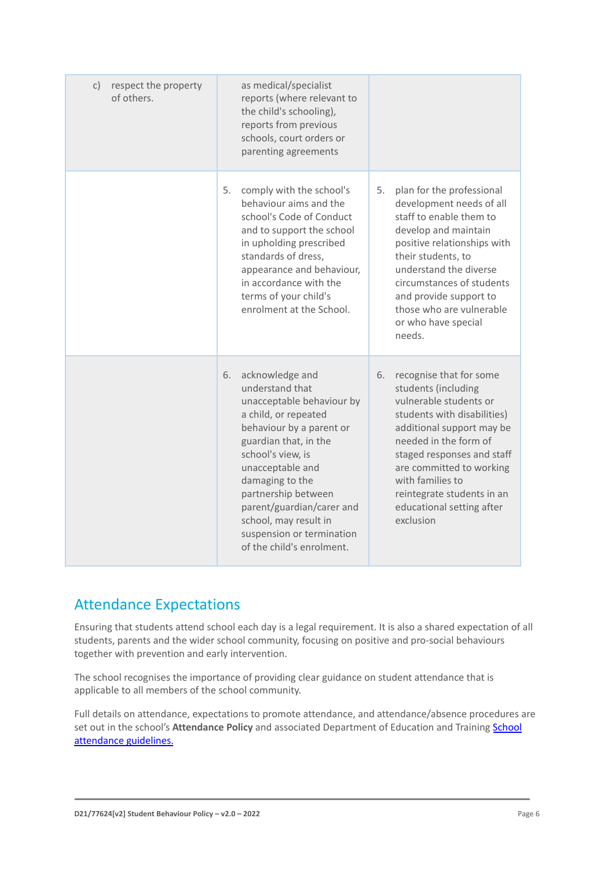| respect the property<br>C)<br>of others. | as medical/specialist<br>reports (where relevant to<br>the child's schooling),<br>reports from previous<br>schools, court orders or<br>parenting agreements                                                                                                                                                                                           |                                                                                                                                                                                                                                                                                                                           |
|------------------------------------------|-------------------------------------------------------------------------------------------------------------------------------------------------------------------------------------------------------------------------------------------------------------------------------------------------------------------------------------------------------|---------------------------------------------------------------------------------------------------------------------------------------------------------------------------------------------------------------------------------------------------------------------------------------------------------------------------|
|                                          | 5.<br>comply with the school's<br>behaviour aims and the<br>school's Code of Conduct<br>and to support the school<br>in upholding prescribed<br>standards of dress,<br>appearance and behaviour,<br>in accordance with the<br>terms of your child's<br>enrolment at the School.                                                                       | 5.<br>plan for the professional<br>development needs of all<br>staff to enable them to<br>develop and maintain<br>positive relationships with<br>their students, to<br>understand the diverse<br>circumstances of students<br>and provide support to<br>those who are vulnerable<br>or who have special<br>needs.         |
|                                          | acknowledge and<br>6.<br>understand that<br>unacceptable behaviour by<br>a child, or repeated<br>behaviour by a parent or<br>guardian that, in the<br>school's view, is<br>unacceptable and<br>damaging to the<br>partnership between<br>parent/guardian/carer and<br>school, may result in<br>suspension or termination<br>of the child's enrolment. | 6.<br>recognise that for some<br>students (including<br>vulnerable students or<br>students with disabilities)<br>additional support may be<br>needed in the form of<br>staged responses and staff<br>are committed to working<br>with families to<br>reintegrate students in an<br>educational setting after<br>exclusion |

### Attendance Expectations

Ensuring that students attend school each day is a legal requirement. It is also a shared expectation of all students, parents and the wider school community, focusing on positive and pro-social behaviours together with prevention and early intervention.

The school recognises the importance of providing clear guidance on student attendance that is applicable to all members of the school community.

Full details on attendance, expectations to promote attendance, and attendance/absence procedures are set out in the school's **Attendance Policy** and associated Department of Education and Training [School](https://www2.education.vic.gov.au/pal/attendance/guidance) [attendance guidelines.](https://www2.education.vic.gov.au/pal/attendance/guidance)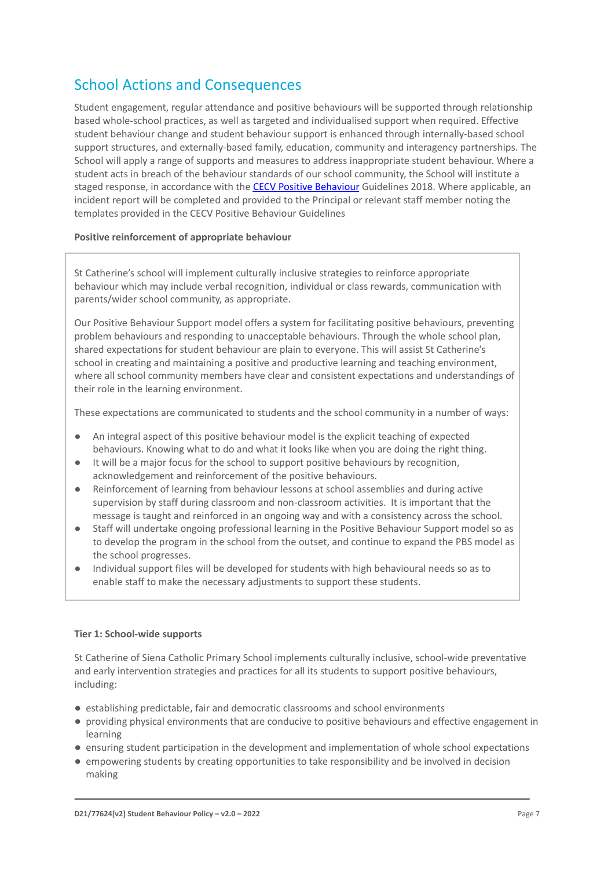### School Actions and Consequences

Student engagement, regular attendance and positive behaviours will be supported through relationship based whole-school practices, as well as targeted and individualised support when required. Effective student behaviour change and student behaviour support is enhanced through internally-based school support structures, and externally-based family, education, community and interagency partnerships. The School will apply a range of supports and measures to address inappropriate student behaviour. Where a student acts in breach of the behaviour standards of our school community, the School will institute a staged response, in accordance with the [CECV Positive](https://www.cecv.catholic.edu.au/getmedia/bc1d235d-9a98-4bb4-b3ac-84b50fa7c639/CECV-Positive-Behaviour-Guidelines_FINAL2.aspx?ext=.pdf) Behaviour Guidelines 2018. Where applicable, an incident report will be completed and provided to the Principal or relevant staff member noting the templates provided in the CECV Positive Behaviour Guidelines

### **Positive reinforcement of appropriate behaviour**

St Catherine's school will implement culturally inclusive strategies to reinforce appropriate behaviour which may include verbal recognition, individual or class rewards, communication with parents/wider school community, as appropriate.

Our Positive Behaviour Support model offers a system for facilitating positive behaviours, preventing problem behaviours and responding to unacceptable behaviours. Through the whole school plan, shared expectations for student behaviour are plain to everyone. This will assist St Catherine's school in creating and maintaining a positive and productive learning and teaching environment, where all school community members have clear and consistent expectations and understandings of their role in the learning environment.

These expectations are communicated to students and the school community in a number of ways:

- An integral aspect of this positive behaviour model is the explicit teaching of expected behaviours. Knowing what to do and what it looks like when you are doing the right thing.
- It will be a major focus for the school to support positive behaviours by recognition, acknowledgement and reinforcement of the positive behaviours.
- Reinforcement of learning from behaviour lessons at school assemblies and during active supervision by staff during classroom and non-classroom activities. It is important that the message is taught and reinforced in an ongoing way and with a consistency across the school.
- Staff will undertake ongoing professional learning in the Positive Behaviour Support model so as to develop the program in the school from the outset, and continue to expand the PBS model as the school progresses.
- Individual support files will be developed for students with high behavioural needs so as to enable staff to make the necessary adjustments to support these students.

### **Tier 1: School-wide supports**

St Catherine of Siena Catholic Primary School implements culturally inclusive, school-wide preventative and early intervention strategies and practices for all its students to support positive behaviours, including:

- establishing predictable, fair and democratic classrooms and school environments
- providing physical environments that are conducive to positive behaviours and effective engagement in learning
- ensuring student participation in the development and implementation of whole school expectations
- empowering students by creating opportunities to take responsibility and be involved in decision making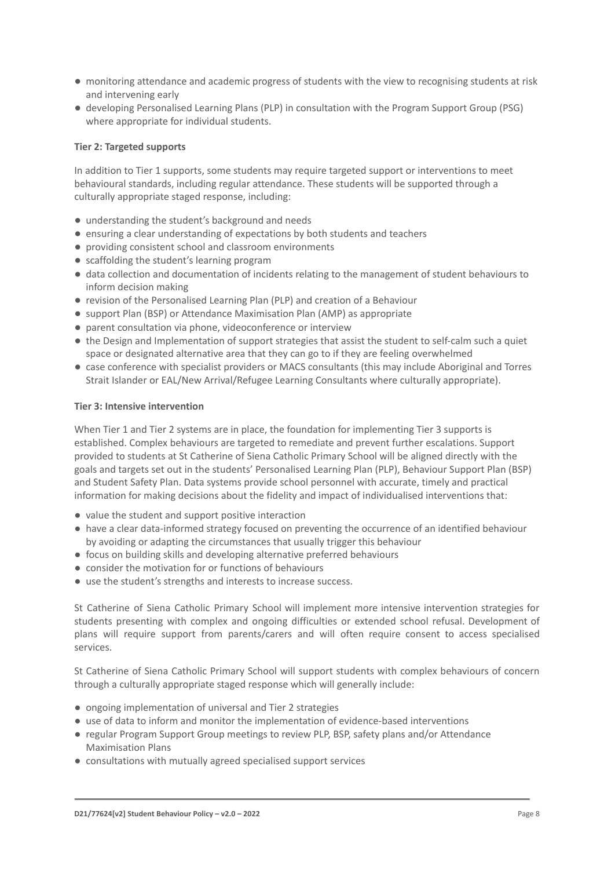- monitoring attendance and academic progress of students with the view to recognising students at risk and intervening early
- developing Personalised Learning Plans (PLP) in consultation with the Program Support Group (PSG) where appropriate for individual students.

### **Tier 2: Targeted supports**

In addition to Tier 1 supports, some students may require targeted support or interventions to meet behavioural standards, including regular attendance. These students will be supported through a culturally appropriate staged response, including:

- understanding the student's background and needs
- ensuring a clear understanding of expectations by both students and teachers
- providing consistent school and classroom environments
- scaffolding the student's learning program
- data collection and documentation of incidents relating to the management of student behaviours to inform decision making
- revision of the Personalised Learning Plan (PLP) and creation of a Behaviour
- support Plan (BSP) or Attendance Maximisation Plan (AMP) as appropriate
- parent consultation via phone, videoconference or interview
- the Design and Implementation of support strategies that assist the student to self-calm such a quiet space or designated alternative area that they can go to if they are feeling overwhelmed
- case conference with specialist providers or MACS consultants (this may include Aboriginal and Torres Strait Islander or EAL/New Arrival/Refugee Learning Consultants where culturally appropriate).

#### **Tier 3: Intensive intervention**

When Tier 1 and Tier 2 systems are in place, the foundation for implementing Tier 3 supports is established. Complex behaviours are targeted to remediate and prevent further escalations. Support provided to students at St Catherine of Siena Catholic Primary School will be aligned directly with the goals and targets set out in the students' Personalised Learning Plan (PLP), Behaviour Support Plan (BSP) and Student Safety Plan. Data systems provide school personnel with accurate, timely and practical information for making decisions about the fidelity and impact of individualised interventions that:

- value the student and support positive interaction
- have a clear data-informed strategy focused on preventing the occurrence of an identified behaviour by avoiding or adapting the circumstances that usually trigger this behaviour
- focus on building skills and developing alternative preferred behaviours
- consider the motivation for or functions of behaviours
- use the student's strengths and interests to increase success.

St Catherine of Siena Catholic Primary School will implement more intensive intervention strategies for students presenting with complex and ongoing difficulties or extended school refusal. Development of plans will require support from parents/carers and will often require consent to access specialised services.

St Catherine of Siena Catholic Primary School will support students with complex behaviours of concern through a culturally appropriate staged response which will generally include:

- ongoing implementation of universal and Tier 2 strategies
- use of data to inform and monitor the implementation of evidence-based interventions
- regular Program Support Group meetings to review PLP, BSP, safety plans and/or Attendance Maximisation Plans
- consultations with mutually agreed specialised support services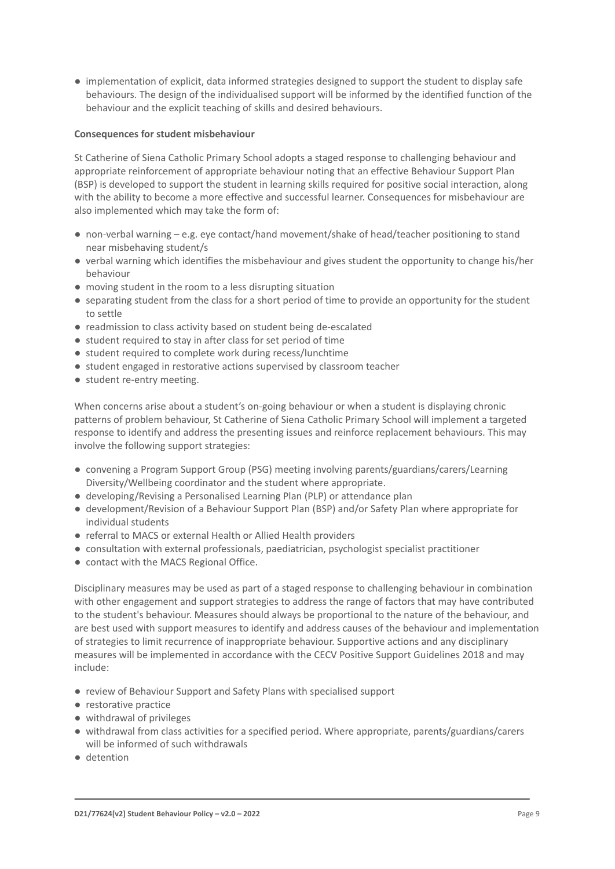● implementation of explicit, data informed strategies designed to support the student to display safe behaviours. The design of the individualised support will be informed by the identified function of the behaviour and the explicit teaching of skills and desired behaviours.

### **Consequences for student misbehaviour**

St Catherine of Siena Catholic Primary School adopts a staged response to challenging behaviour and appropriate reinforcement of appropriate behaviour noting that an effective Behaviour Support Plan (BSP) is developed to support the student in learning skills required for positive social interaction, along with the ability to become a more effective and successful learner. Consequences for misbehaviour are also implemented which may take the form of:

- non-verbal warning e.g. eye contact/hand movement/shake of head/teacher positioning to stand near misbehaving student/s
- verbal warning which identifies the misbehaviour and gives student the opportunity to change his/her behaviour
- moving student in the room to a less disrupting situation
- separating student from the class for a short period of time to provide an opportunity for the student to settle
- readmission to class activity based on student being de-escalated
- student required to stay in after class for set period of time
- student required to complete work during recess/lunchtime
- student engaged in restorative actions supervised by classroom teacher
- student re-entry meeting.

When concerns arise about a student's on-going behaviour or when a student is displaying chronic patterns of problem behaviour, St Catherine of Siena Catholic Primary School will implement a targeted response to identify and address the presenting issues and reinforce replacement behaviours. This may involve the following support strategies:

- convening a Program Support Group (PSG) meeting involving parents/guardians/carers/Learning Diversity/Wellbeing coordinator and the student where appropriate.
- developing/Revising a Personalised Learning Plan (PLP) or attendance plan
- development/Revision of a Behaviour Support Plan (BSP) and/or Safety Plan where appropriate for individual students
- referral to MACS or external Health or Allied Health providers
- consultation with external professionals, paediatrician, psychologist specialist practitioner
- contact with the MACS Regional Office.

Disciplinary measures may be used as part of a staged response to challenging behaviour in combination with other engagement and support strategies to address the range of factors that may have contributed to the student's behaviour. Measures should always be proportional to the nature of the behaviour, and are best used with support measures to identify and address causes of the behaviour and implementation of strategies to limit recurrence of inappropriate behaviour. Supportive actions and any disciplinary measures will be implemented in accordance with the CECV Positive Support Guidelines 2018 and may include:

- review of Behaviour Support and Safety Plans with specialised support
- restorative practice
- withdrawal of privileges
- withdrawal from class activities for a specified period. Where appropriate, parents/guardians/carers will be informed of such withdrawals
- detention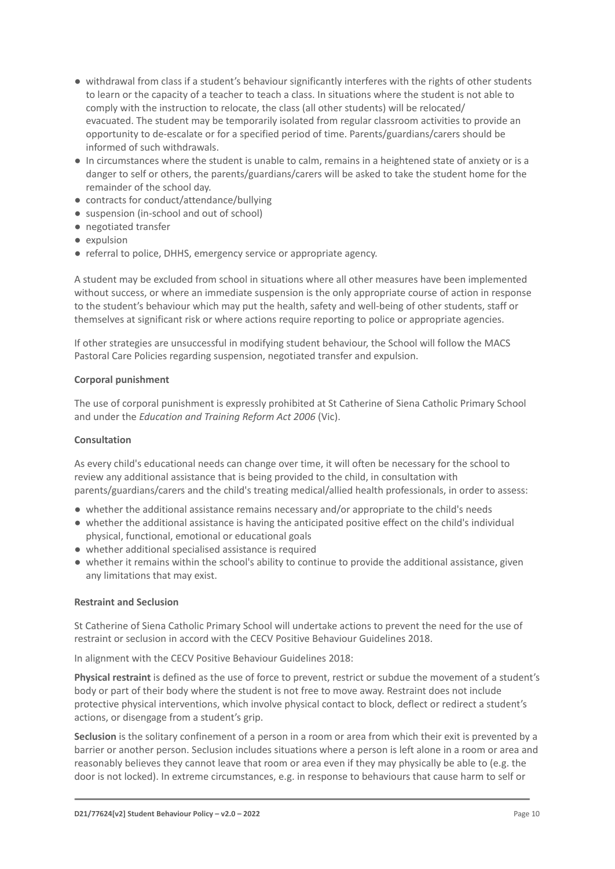- withdrawal from class if a student's behaviour significantly interferes with the rights of other students to learn or the capacity of a teacher to teach a class. In situations where the student is not able to comply with the instruction to relocate, the class (all other students) will be relocated/ evacuated. The student may be temporarily isolated from regular classroom activities to provide an opportunity to de-escalate or for a specified period of time. Parents/guardians/carers should be informed of such withdrawals.
- In circumstances where the student is unable to calm, remains in a heightened state of anxiety or is a danger to self or others, the parents/guardians/carers will be asked to take the student home for the remainder of the school day.
- contracts for conduct/attendance/bullying
- suspension (in-school and out of school)
- negotiated transfer
- expulsion
- referral to police, DHHS, emergency service or appropriate agency.

A student may be excluded from school in situations where all other measures have been implemented without success, or where an immediate suspension is the only appropriate course of action in response to the student's behaviour which may put the health, safety and well-being of other students, staff or themselves at significant risk or where actions require reporting to police or appropriate agencies.

If other strategies are unsuccessful in modifying student behaviour, the School will follow the MACS Pastoral Care Policies regarding suspension, negotiated transfer and expulsion.

### **Corporal punishment**

The use of corporal punishment is expressly prohibited at St Catherine of Siena Catholic Primary School and under the *Education and Training Reform Act 2006* (Vic).

#### **Consultation**

As every child's educational needs can change over time, it will often be necessary for the school to review any additional assistance that is being provided to the child, in consultation with parents/guardians/carers and the child's treating medical/allied health professionals, in order to assess:

- whether the additional assistance remains necessary and/or appropriate to the child's needs
- whether the additional assistance is having the anticipated positive effect on the child's individual physical, functional, emotional or educational goals
- whether additional specialised assistance is required
- whether it remains within the school's ability to continue to provide the additional assistance, given any limitations that may exist.

### **Restraint and Seclusion**

St Catherine of Siena Catholic Primary School will undertake actions to prevent the need for the use of restraint or seclusion in accord with the CECV Positive Behaviour Guidelines 2018.

In alignment with the CECV Positive Behaviour Guidelines 2018:

**Physical restraint** is defined as the use of force to prevent, restrict or subdue the movement of a student's body or part of their body where the student is not free to move away. Restraint does not include protective physical interventions, which involve physical contact to block, deflect or redirect a student's actions, or disengage from a student's grip.

**Seclusion** is the solitary confinement of a person in a room or area from which their exit is prevented by a barrier or another person. Seclusion includes situations where a person is left alone in a room or area and reasonably believes they cannot leave that room or area even if they may physically be able to (e.g. the door is not locked). In extreme circumstances, e.g. in response to behaviours that cause harm to self or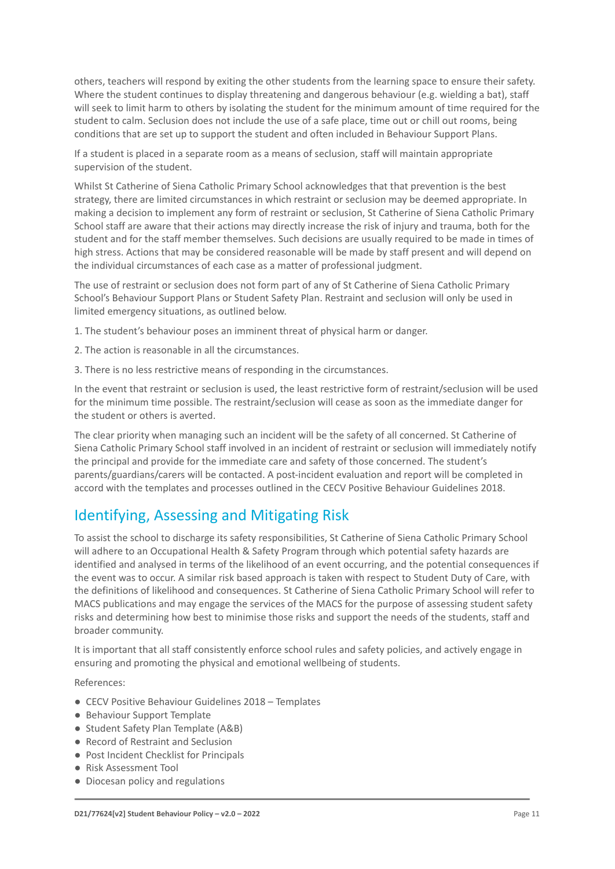others, teachers will respond by exiting the other students from the learning space to ensure their safety. Where the student continues to display threatening and dangerous behaviour (e.g. wielding a bat), staff will seek to limit harm to others by isolating the student for the minimum amount of time required for the student to calm. Seclusion does not include the use of a safe place, time out or chill out rooms, being conditions that are set up to support the student and often included in Behaviour Support Plans.

If a student is placed in a separate room as a means of seclusion, staff will maintain appropriate supervision of the student.

Whilst St Catherine of Siena Catholic Primary School acknowledges that that prevention is the best strategy, there are limited circumstances in which restraint or seclusion may be deemed appropriate. In making a decision to implement any form of restraint or seclusion, St Catherine of Siena Catholic Primary School staff are aware that their actions may directly increase the risk of injury and trauma, both for the student and for the staff member themselves. Such decisions are usually required to be made in times of high stress. Actions that may be considered reasonable will be made by staff present and will depend on the individual circumstances of each case as a matter of professional judgment.

The use of restraint or seclusion does not form part of any of St Catherine of Siena Catholic Primary School's Behaviour Support Plans or Student Safety Plan. Restraint and seclusion will only be used in limited emergency situations, as outlined below.

1. The student's behaviour poses an imminent threat of physical harm or danger.

- 2. The action is reasonable in all the circumstances.
- 3. There is no less restrictive means of responding in the circumstances.

In the event that restraint or seclusion is used, the least restrictive form of restraint/seclusion will be used for the minimum time possible. The restraint/seclusion will cease as soon as the immediate danger for the student or others is averted.

The clear priority when managing such an incident will be the safety of all concerned. St Catherine of Siena Catholic Primary School staff involved in an incident of restraint or seclusion will immediately notify the principal and provide for the immediate care and safety of those concerned. The student's parents/guardians/carers will be contacted. A post-incident evaluation and report will be completed in accord with the templates and processes outlined in the CECV Positive Behaviour Guidelines 2018.

### Identifying, Assessing and Mitigating Risk

To assist the school to discharge its safety responsibilities, St Catherine of Siena Catholic Primary School will adhere to an Occupational Health & Safety Program through which potential safety hazards are identified and analysed in terms of the likelihood of an event occurring, and the potential consequences if the event was to occur. A similar risk based approach is taken with respect to Student Duty of Care, with the definitions of likelihood and consequences. St Catherine of Siena Catholic Primary School will refer to MACS publications and may engage the services of the MACS for the purpose of assessing student safety risks and determining how best to minimise those risks and support the needs of the students, staff and broader community.

It is important that all staff consistently enforce school rules and safety policies, and actively engage in ensuring and promoting the physical and emotional wellbeing of students.

References:

- CECV Positive Behaviour Guidelines 2018 Templates
- Behaviour Support Template
- Student Safety Plan Template (A&B)
- Record of Restraint and Seclusion
- Post Incident Checklist for Principals
- Risk Assessment Tool
- Diocesan policy and regulations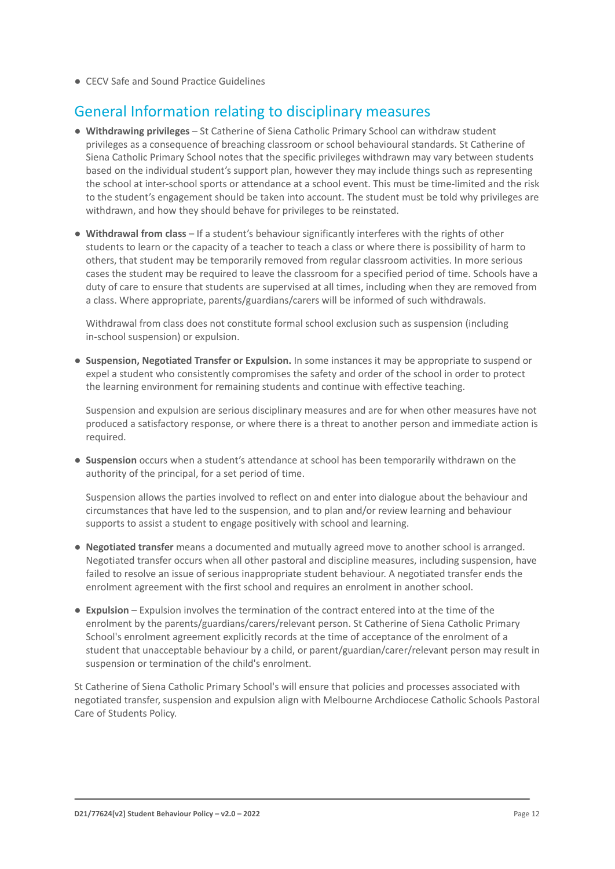● CECV Safe and Sound Practice Guidelines

### General Information relating to disciplinary measures

- **Withdrawing privileges** St Catherine of Siena Catholic Primary School can withdraw student privileges as a consequence of breaching classroom or school behavioural standards. St Catherine of Siena Catholic Primary School notes that the specific privileges withdrawn may vary between students based on the individual student's support plan, however they may include things such as representing the school at inter-school sports or attendance at a school event. This must be time-limited and the risk to the student's engagement should be taken into account. The student must be told why privileges are withdrawn, and how they should behave for privileges to be reinstated.
- **Withdrawal from class** If a student's behaviour significantly interferes with the rights of other students to learn or the capacity of a teacher to teach a class or where there is possibility of harm to others, that student may be temporarily removed from regular classroom activities. In more serious cases the student may be required to leave the classroom for a specified period of time. Schools have a duty of care to ensure that students are supervised at all times, including when they are removed from a class. Where appropriate, parents/guardians/carers will be informed of such withdrawals.

Withdrawal from class does not constitute formal school exclusion such as suspension (including in-school suspension) or expulsion.

● **Suspension, Negotiated Transfer or Expulsion.** In some instances it may be appropriate to suspend or expel a student who consistently compromises the safety and order of the school in order to protect the learning environment for remaining students and continue with effective teaching.

Suspension and expulsion are serious disciplinary measures and are for when other measures have not produced a satisfactory response, or where there is a threat to another person and immediate action is required.

● **Suspension** occurs when a student's attendance at school has been temporarily withdrawn on the authority of the principal, for a set period of time.

Suspension allows the parties involved to reflect on and enter into dialogue about the behaviour and circumstances that have led to the suspension, and to plan and/or review learning and behaviour supports to assist a student to engage positively with school and learning.

- **Negotiated transfer** means a documented and mutually agreed move to another school is arranged. Negotiated transfer occurs when all other pastoral and discipline measures, including suspension, have failed to resolve an issue of serious inappropriate student behaviour. A negotiated transfer ends the enrolment agreement with the first school and requires an enrolment in another school.
- **Expulsion** Expulsion involves the termination of the contract entered into at the time of the enrolment by the parents/guardians/carers/relevant person. St Catherine of Siena Catholic Primary School's enrolment agreement explicitly records at the time of acceptance of the enrolment of a student that unacceptable behaviour by a child, or parent/guardian/carer/relevant person may result in suspension or termination of the child's enrolment.

St Catherine of Siena Catholic Primary School's will ensure that policies and processes associated with negotiated transfer, suspension and expulsion align with Melbourne Archdiocese Catholic Schools Pastoral Care of Students Policy.